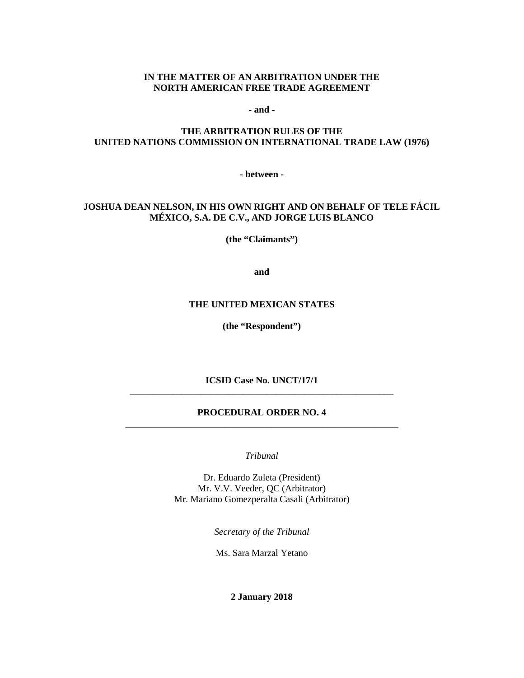### **IN THE MATTER OF AN ARBITRATION UNDER THE NORTH AMERICAN FREE TRADE AGREEMENT**

**- and -**

### **THE ARBITRATION RULES OF THE UNITED NATIONS COMMISSION ON INTERNATIONAL TRADE LAW (1976)**

**- between -**

### **JOSHUA DEAN NELSON, IN HIS OWN RIGHT AND ON BEHALF OF TELE FÁCIL MÉXICO, S.A. DE C.V., AND JORGE LUIS BLANCO**

**(the "Claimants")**

**and**

#### **THE UNITED MEXICAN STATES**

**(the "Respondent")**

**ICSID Case No. UNCT/17/1** \_\_\_\_\_\_\_\_\_\_\_\_\_\_\_\_\_\_\_\_\_\_\_\_\_\_\_\_\_\_\_\_\_\_\_\_\_\_\_\_\_\_\_\_\_\_\_\_\_\_\_\_\_\_\_\_

### **PROCEDURAL ORDER NO. 4** \_\_\_\_\_\_\_\_\_\_\_\_\_\_\_\_\_\_\_\_\_\_\_\_\_\_\_\_\_\_\_\_\_\_\_\_\_\_\_\_\_\_\_\_\_\_\_\_\_\_\_\_\_\_\_\_\_\_

*Tribunal*

Dr. Eduardo Zuleta (President) Mr. V.V. Veeder, QC (Arbitrator) Mr. Mariano Gomezperalta Casali (Arbitrator)

*Secretary of the Tribunal*

Ms. Sara Marzal Yetano

**2 January 2018**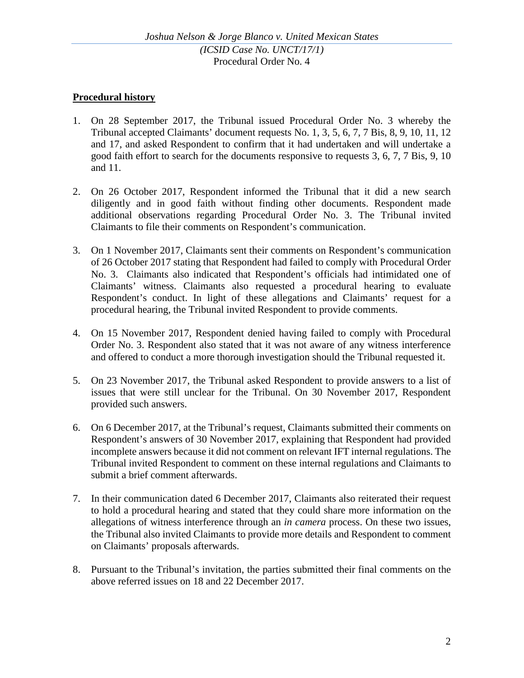## **Procedural history**

- 1. On 28 September 2017, the Tribunal issued Procedural Order No. 3 whereby the Tribunal accepted Claimants' document requests No. 1, 3, 5, 6, 7, 7 Bis, 8, 9, 10, 11, 12 and 17, and asked Respondent to confirm that it had undertaken and will undertake a good faith effort to search for the documents responsive to requests 3, 6, 7, 7 Bis, 9, 10 and 11.
- 2. On 26 October 2017, Respondent informed the Tribunal that it did a new search diligently and in good faith without finding other documents. Respondent made additional observations regarding Procedural Order No. 3. The Tribunal invited Claimants to file their comments on Respondent's communication.
- 3. On 1 November 2017, Claimants sent their comments on Respondent's communication of 26 October 2017 stating that Respondent had failed to comply with Procedural Order No. 3. Claimants also indicated that Respondent's officials had intimidated one of Claimants' witness. Claimants also requested a procedural hearing to evaluate Respondent's conduct. In light of these allegations and Claimants' request for a procedural hearing, the Tribunal invited Respondent to provide comments.
- 4. On 15 November 2017, Respondent denied having failed to comply with Procedural Order No. 3. Respondent also stated that it was not aware of any witness interference and offered to conduct a more thorough investigation should the Tribunal requested it.
- 5. On 23 November 2017, the Tribunal asked Respondent to provide answers to a list of issues that were still unclear for the Tribunal. On 30 November 2017, Respondent provided such answers.
- 6. On 6 December 2017, at the Tribunal's request, Claimants submitted their comments on Respondent's answers of 30 November 2017, explaining that Respondent had provided incomplete answers because it did not comment on relevant IFT internal regulations. The Tribunal invited Respondent to comment on these internal regulations and Claimants to submit a brief comment afterwards.
- 7. In their communication dated 6 December 2017, Claimants also reiterated their request to hold a procedural hearing and stated that they could share more information on the allegations of witness interference through an *in camera* process. On these two issues, the Tribunal also invited Claimants to provide more details and Respondent to comment on Claimants' proposals afterwards.
- 8. Pursuant to the Tribunal's invitation, the parties submitted their final comments on the above referred issues on 18 and 22 December 2017.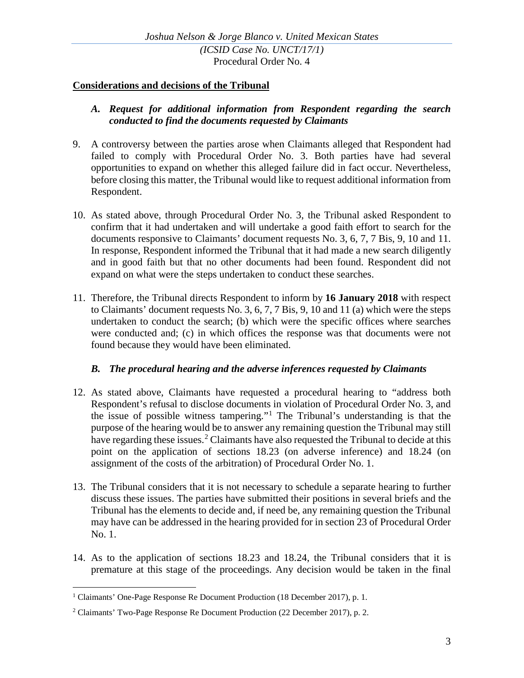### **Considerations and decisions of the Tribunal**

### *A. Request for additional information from Respondent regarding the search conducted to find the documents requested by Claimants*

- 9. A controversy between the parties arose when Claimants alleged that Respondent had failed to comply with Procedural Order No. 3. Both parties have had several opportunities to expand on whether this alleged failure did in fact occur. Nevertheless, before closing this matter, the Tribunal would like to request additional information from Respondent.
- 10. As stated above, through Procedural Order No. 3, the Tribunal asked Respondent to confirm that it had undertaken and will undertake a good faith effort to search for the documents responsive to Claimants' document requests No. 3, 6, 7, 7 Bis, 9, 10 and 11. In response, Respondent informed the Tribunal that it had made a new search diligently and in good faith but that no other documents had been found. Respondent did not expand on what were the steps undertaken to conduct these searches.
- 11. Therefore, the Tribunal directs Respondent to inform by **16 January 2018** with respect to Claimants' document requests No. 3, 6, 7, 7 Bis, 9, 10 and 11 (a) which were the steps undertaken to conduct the search; (b) which were the specific offices where searches were conducted and; (c) in which offices the response was that documents were not found because they would have been eliminated.

## *B. The procedural hearing and the adverse inferences requested by Claimants*

- 12. As stated above, Claimants have requested a procedural hearing to "address both Respondent's refusal to disclose documents in violation of Procedural Order No. 3, and the issue of possible witness tampering."[1](#page-2-0) The Tribunal's understanding is that the purpose of the hearing would be to answer any remaining question the Tribunal may still have regarding these issues.<sup>[2](#page-2-1)</sup> Claimants have also requested the Tribunal to decide at this point on the application of sections 18.23 (on adverse inference) and 18.24 (on assignment of the costs of the arbitration) of Procedural Order No. 1.
- 13. The Tribunal considers that it is not necessary to schedule a separate hearing to further discuss these issues. The parties have submitted their positions in several briefs and the Tribunal has the elements to decide and, if need be, any remaining question the Tribunal may have can be addressed in the hearing provided for in section 23 of Procedural Order No. 1.
- 14. As to the application of sections 18.23 and 18.24, the Tribunal considers that it is premature at this stage of the proceedings. Any decision would be taken in the final

<span id="page-2-0"></span><sup>&</sup>lt;sup>1</sup> Claimants' One-Page Response Re Document Production (18 December 2017), p. 1.

<span id="page-2-1"></span><sup>2</sup> Claimants' Two-Page Response Re Document Production (22 December 2017), p. 2.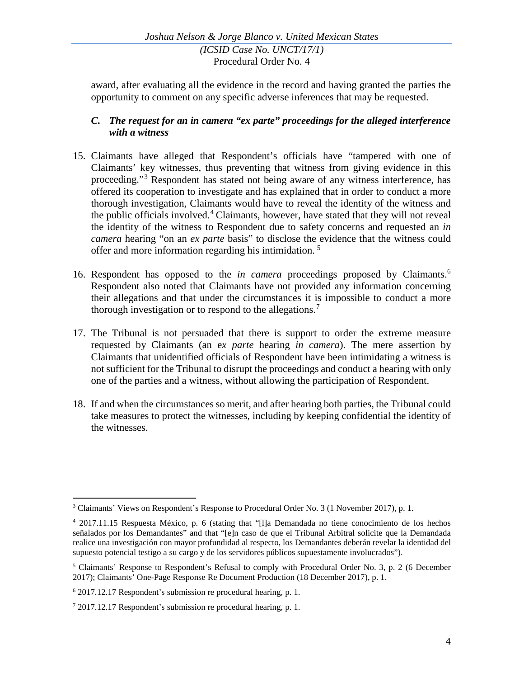award, after evaluating all the evidence in the record and having granted the parties the opportunity to comment on any specific adverse inferences that may be requested.

# *C. The request for an in camera "ex parte" proceedings for the alleged interference with a witness*

- 15. Claimants have alleged that Respondent's officials have "tampered with one of Claimants' key witnesses, thus preventing that witness from giving evidence in this proceeding."[3](#page-3-0) Respondent has stated not being aware of any witness interference, has offered its cooperation to investigate and has explained that in order to conduct a more thorough investigation, Claimants would have to reveal the identity of the witness and the public officials involved. [4](#page-3-1) Claimants, however, have stated that they will not reveal the identity of the witness to Respondent due to safety concerns and requested an *in camera* hearing "on an *ex parte* basis" to disclose the evidence that the witness could offer and more information regarding his intimidation. [5](#page-3-2)
- 16. Respondent has opposed to the *in camera* proceedings proposed by Claimants.[6](#page-3-3) Respondent also noted that Claimants have not provided any information concerning their allegations and that under the circumstances it is impossible to conduct a more thorough investigation or to respond to the allegations.<sup>[7](#page-3-4)</sup>
- 17. The Tribunal is not persuaded that there is support to order the extreme measure requested by Claimants (an e*x parte* hearing *in camera*). The mere assertion by Claimants that unidentified officials of Respondent have been intimidating a witness is not sufficient for the Tribunal to disrupt the proceedings and conduct a hearing with only one of the parties and a witness, without allowing the participation of Respondent.
- 18. If and when the circumstances so merit, and after hearing both parties, the Tribunal could take measures to protect the witnesses, including by keeping confidential the identity of the witnesses.

<span id="page-3-0"></span> <sup>3</sup> Claimants' Views on Respondent's Response to Procedural Order No. 3 (1 November 2017), p. 1.

<span id="page-3-1"></span><sup>4</sup> 2017.11.15 Respuesta México, p. 6 (stating that "[l]a Demandada no tiene conocimiento de los hechos señalados por los Demandantes" and that "[e]n caso de que el Tribunal Arbitral solicite que la Demandada realice una investigación con mayor profundidad al respecto, los Demandantes deberán revelar la identidad del supuesto potencial testigo a su cargo y de los servidores públicos supuestamente involucrados").

<span id="page-3-2"></span><sup>5</sup> Claimants' Response to Respondent's Refusal to comply with Procedural Order No. 3, p. 2 (6 December 2017); Claimants' One-Page Response Re Document Production (18 December 2017), p. 1.

<span id="page-3-3"></span><sup>6</sup> 2017.12.17 Respondent's submission re procedural hearing, p. 1.

<span id="page-3-4"></span><sup>7</sup> 2017.12.17 Respondent's submission re procedural hearing, p. 1.